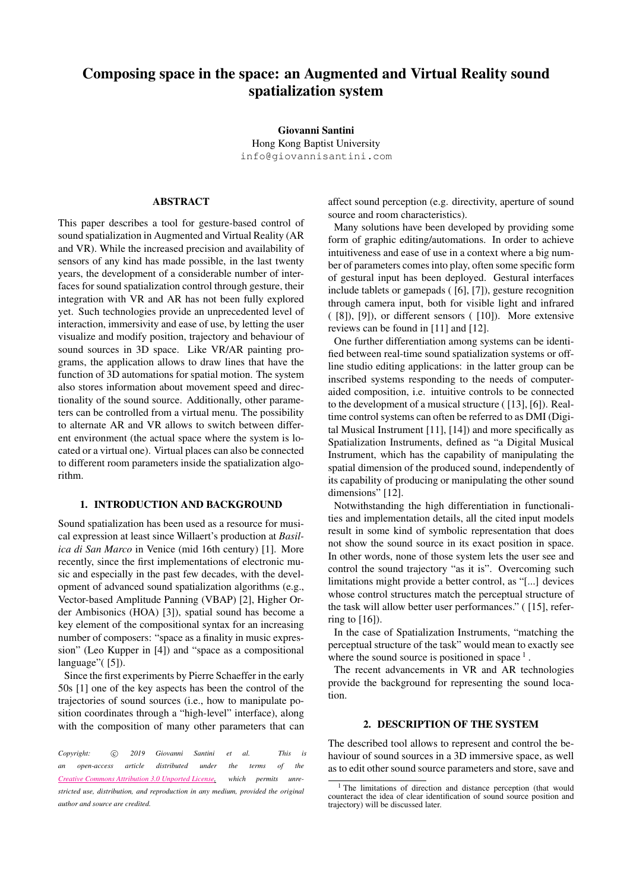# Composing space in the space: an Augmented and Virtual Reality sound spatialization system

Giovanni Santini Hong Kong Baptist University [info@giovannisantini.com](mailto:info@giovannisantini.com)

# ABSTRACT

This paper describes a tool for gesture-based control of sound spatialization in Augmented and Virtual Reality (AR and VR). While the increased precision and availability of sensors of any kind has made possible, in the last twenty years, the development of a considerable number of interfaces for sound spatialization control through gesture, their integration with VR and AR has not been fully explored yet. Such technologies provide an unprecedented level of interaction, immersivity and ease of use, by letting the user visualize and modify position, trajectory and behaviour of sound sources in 3D space. Like VR/AR painting programs, the application allows to draw lines that have the function of 3D automations for spatial motion. The system also stores information about movement speed and directionality of the sound source. Additionally, other parameters can be controlled from a virtual menu. The possibility to alternate AR and VR allows to switch between different environment (the actual space where the system is located or a virtual one). Virtual places can also be connected to different room parameters inside the spatialization algorithm.

#### 1. INTRODUCTION AND BACKGROUND

Sound spatialization has been used as a resource for musical expression at least since Willaert's production at *Basilica di San Marco* in Venice (mid 16th century) [\[1\]](#page-3-0). More recently, since the first implementations of electronic music and especially in the past few decades, with the development of advanced sound spatialization algorithms (e.g., Vector-based Amplitude Panning (VBAP) [\[2\]](#page-3-1), Higher Order Ambisonics (HOA) [\[3\]](#page-3-2)), spatial sound has become a key element of the compositional syntax for an increasing number of composers: "space as a finality in music expression" (Leo Kupper in [\[4\]](#page-3-3)) and "space as a compositional language" ([\[5\]](#page-3-4)).

Since the first experiments by Pierre Schaeffer in the early 50s [\[1\]](#page-3-0) one of the key aspects has been the control of the trajectories of sound sources (i.e., how to manipulate position coordinates through a "high-level" interface), along with the composition of many other parameters that can

*Copyright:* c *2019 Giovanni Santini et al. This is an open-access article distributed under the terms of the Creative Commons [Attribution](http://creativecommons.org/licenses/by/3.0/) 3.0 Unported License, which permits unrestricted use, distribution, and reproduction in any medium, provided the original author and source are credited.*

affect sound perception (e.g. directivity, aperture of sound source and room characteristics).

Many solutions have been developed by providing some form of graphic editing/automations. In order to achieve intuitiveness and ease of use in a context where a big number of parameters comes into play, often some specific form of gestural input has been deployed. Gestural interfaces include tablets or gamepads ( [\[6\]](#page-3-5), [\[7\]](#page-3-6)), gesture recognition through camera input, both for visible light and infrared ( [\[8\]](#page-4-0)), [\[9\]](#page-4-1)), or different sensors ( [\[10\]](#page-4-2)). More extensive reviews can be found in [\[11\]](#page-4-3) and [\[12\]](#page-4-4).

One further differentiation among systems can be identified between real-time sound spatialization systems or offline studio editing applications: in the latter group can be inscribed systems responding to the needs of computeraided composition, i.e. intuitive controls to be connected to the development of a musical structure ( [\[13\]](#page-4-5), [\[6\]](#page-3-5)). Realtime control systems can often be referred to as DMI (Digital Musical Instrument [\[11\]](#page-4-3), [\[14\]](#page-4-6)) and more specifically as Spatialization Instruments, defined as "a Digital Musical Instrument, which has the capability of manipulating the spatial dimension of the produced sound, independently of its capability of producing or manipulating the other sound dimensions" [\[12\]](#page-4-4).

Notwithstanding the high differentiation in functionalities and implementation details, all the cited input models result in some kind of symbolic representation that does not show the sound source in its exact position in space. In other words, none of those system lets the user see and control the sound trajectory "as it is". Overcoming such limitations might provide a better control, as "[...] devices whose control structures match the perceptual structure of the task will allow better user performances." ( [\[15\]](#page-4-7), referring to  $[16]$ ).

In the case of Spatialization Instruments, "matching the perceptual structure of the task" would mean to exactly see where the sound source is positioned in space  $<sup>1</sup>$  $<sup>1</sup>$  $<sup>1</sup>$ .</sup>

The recent advancements in VR and AR technologies provide the background for representing the sound location.

#### 2. DESCRIPTION OF THE SYSTEM

The described tool allows to represent and control the behaviour of sound sources in a 3D immersive space, as well as to edit other sound source parameters and store, save and

<span id="page-0-0"></span><sup>&</sup>lt;sup>1</sup> The limitations of direction and distance perception (that would counteract the idea of clear identification of sound source position and trajectory) will be discussed later.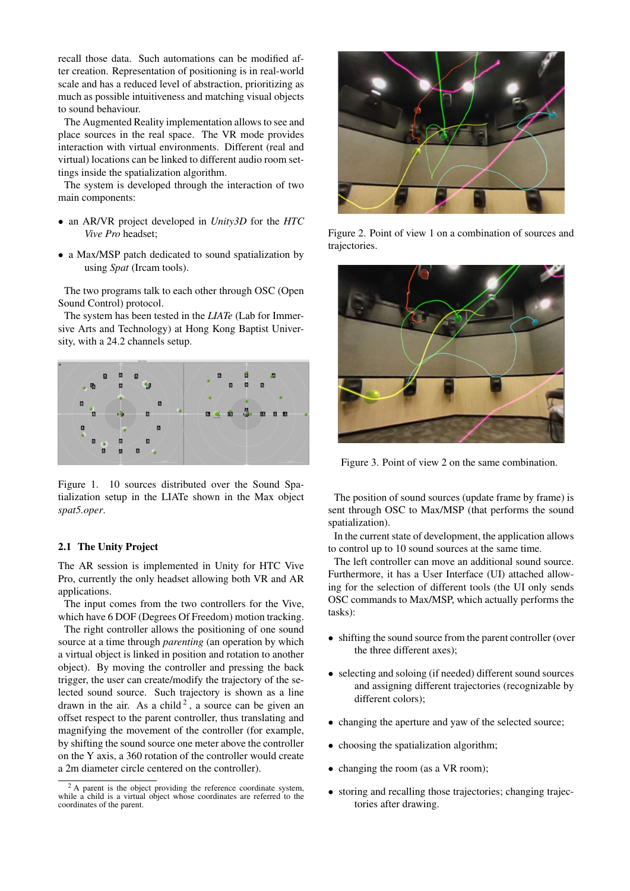recall those data. Such automations can be modified after creation. Representation of positioning is in real-world scale and has a reduced level of abstraction, prioritizing as much as possible intuitiveness and matching visual objects to sound behaviour.

The Augmented Reality implementation allows to see and place sources in the real space. The VR mode provides interaction with virtual environments. Different (real and virtual) locations can be linked to different audio room settings inside the spatialization algorithm.

The system is developed through the interaction of two main components:

- an AR/VR project developed in *Unity3D* for the *HTC Vive Pro* headset;
- a Max/MSP patch dedicated to sound spatialization by using *Spat* (Ircam tools).

The two programs talk to each other through OSC (Open Sound Control) protocol.

The system has been tested in the *LIATe* (Lab for Immersive Arts and Technology) at Hong Kong Baptist University, with a 24.2 channels setup.



Figure 1. 10 sources distributed over the Sound Spatialization setup in the LIATe shown in the Max object *spat5.oper*.

## 2.1 The Unity Project

The AR session is implemented in Unity for HTC Vive Pro, currently the only headset allowing both VR and AR applications.

The input comes from the two controllers for the Vive, which have 6 DOF (Degrees Of Freedom) motion tracking.

The right controller allows the positioning of one sound source at a time through *parenting* (an operation by which a virtual object is linked in position and rotation to another object). By moving the controller and pressing the back trigger, the user can create/modify the trajectory of the selected sound source. Such trajectory is shown as a line drawn in the air. As a child<sup>[2](#page-1-0)</sup>, a source can be given an offset respect to the parent controller, thus translating and magnifying the movement of the controller (for example, by shifting the sound source one meter above the controller on the Y axis, a 360 rotation of the controller would create a 2m diameter circle centered on the controller).



Figure 2. Point of view 1 on a combination of sources and trajectories.



Figure 3. Point of view 2 on the same combination.

The position of sound sources (update frame by frame) is sent through OSC to Max/MSP (that performs the sound spatialization).

In the current state of development, the application allows to control up to 10 sound sources at the same time.

The left controller can move an additional sound source. Furthermore, it has a User Interface (UI) attached allowing for the selection of different tools (the UI only sends OSC commands to Max/MSP, which actually performs the tasks):

- shifting the sound source from the parent controller (over the three different axes);
- selecting and soloing (if needed) different sound sources and assigning different trajectories (recognizable by different colors);
- changing the aperture and yaw of the selected source;
- choosing the spatialization algorithm;
- changing the room (as a VR room);
- storing and recalling those trajectories; changing trajectories after drawing.

<span id="page-1-0"></span><sup>&</sup>lt;sup>2</sup> A parent is the object providing the reference coordinate system, while a child is a virtual object whose coordinates are referred to the coordinates of the parent.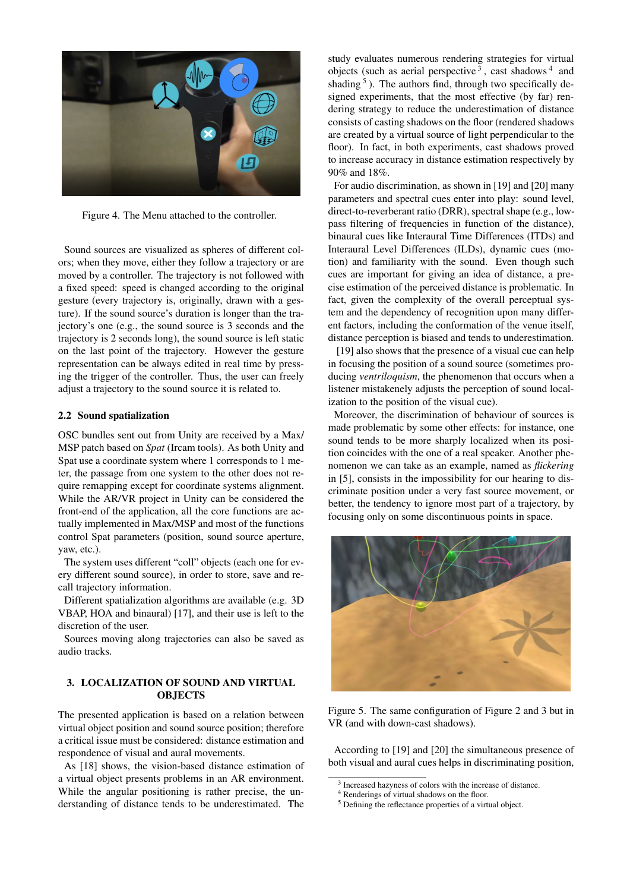

Figure 4. The Menu attached to the controller.

Sound sources are visualized as spheres of different colors; when they move, either they follow a trajectory or are moved by a controller. The trajectory is not followed with a fixed speed: speed is changed according to the original gesture (every trajectory is, originally, drawn with a gesture). If the sound source's duration is longer than the trajectory's one (e.g., the sound source is 3 seconds and the trajectory is 2 seconds long), the sound source is left static on the last point of the trajectory. However the gesture representation can be always edited in real time by pressing the trigger of the controller. Thus, the user can freely adjust a trajectory to the sound source it is related to.

#### 2.2 Sound spatialization

OSC bundles sent out from Unity are received by a Max/ MSP patch based on *Spat* (Ircam tools). As both Unity and Spat use a coordinate system where 1 corresponds to 1 meter, the passage from one system to the other does not require remapping except for coordinate systems alignment. While the AR/VR project in Unity can be considered the front-end of the application, all the core functions are actually implemented in Max/MSP and most of the functions control Spat parameters (position, sound source aperture, yaw, etc.).

The system uses different "coll" objects (each one for every different sound source), in order to store, save and recall trajectory information.

Different spatialization algorithms are available (e.g. 3D VBAP, HOA and binaural) [\[17\]](#page-4-9), and their use is left to the discretion of the user.

Sources moving along trajectories can also be saved as audio tracks.

# 3. LOCALIZATION OF SOUND AND VIRTUAL **OBJECTS**

The presented application is based on a relation between virtual object position and sound source position; therefore a critical issue must be considered: distance estimation and respondence of visual and aural movements.

As [\[18\]](#page-4-10) shows, the vision-based distance estimation of a virtual object presents problems in an AR environment. While the angular positioning is rather precise, the understanding of distance tends to be underestimated. The

study evaluates numerous rendering strategies for virtual objects (such as aerial perspective  $3$ , cast shadows  $4$  and shading<sup>[5](#page-2-2)</sup>). The authors find, through two specifically designed experiments, that the most effective (by far) rendering strategy to reduce the underestimation of distance consists of casting shadows on the floor (rendered shadows are created by a virtual source of light perpendicular to the floor). In fact, in both experiments, cast shadows proved to increase accuracy in distance estimation respectively by 90% and 18%.

For audio discrimination, as shown in [\[19\]](#page-4-11) and [\[20\]](#page-4-12) many parameters and spectral cues enter into play: sound level, direct-to-reverberant ratio (DRR), spectral shape (e.g., lowpass filtering of frequencies in function of the distance), binaural cues like Interaural Time Differences (ITDs) and Interaural Level Differences (ILDs), dynamic cues (motion) and familiarity with the sound. Even though such cues are important for giving an idea of distance, a precise estimation of the perceived distance is problematic. In fact, given the complexity of the overall perceptual system and the dependency of recognition upon many different factors, including the conformation of the venue itself, distance perception is biased and tends to underestimation.

[\[19\]](#page-4-11) also shows that the presence of a visual cue can help in focusing the position of a sound source (sometimes producing *ventriloquism*, the phenomenon that occurs when a listener mistakenely adjusts the perception of sound localization to the position of the visual cue).

Moreover, the discrimination of behaviour of sources is made problematic by some other effects: for instance, one sound tends to be more sharply localized when its position coincides with the one of a real speaker. Another phenomenon we can take as an example, named as *flickering* in [\[5\]](#page-3-4), consists in the impossibility for our hearing to discriminate position under a very fast source movement, or better, the tendency to ignore most part of a trajectory, by focusing only on some discontinuous points in space.



Figure 5. The same configuration of Figure 2 and 3 but in VR (and with down-cast shadows).

According to [\[19\]](#page-4-11) and [\[20\]](#page-4-12) the simultaneous presence of both visual and aural cues helps in discriminating position,

<span id="page-2-0"></span><sup>3</sup> Increased hazyness of colors with the increase of distance.

<span id="page-2-1"></span><sup>4</sup> Renderings of virtual shadows on the floor.

<span id="page-2-2"></span><sup>5</sup> Defining the reflectance properties of a virtual object.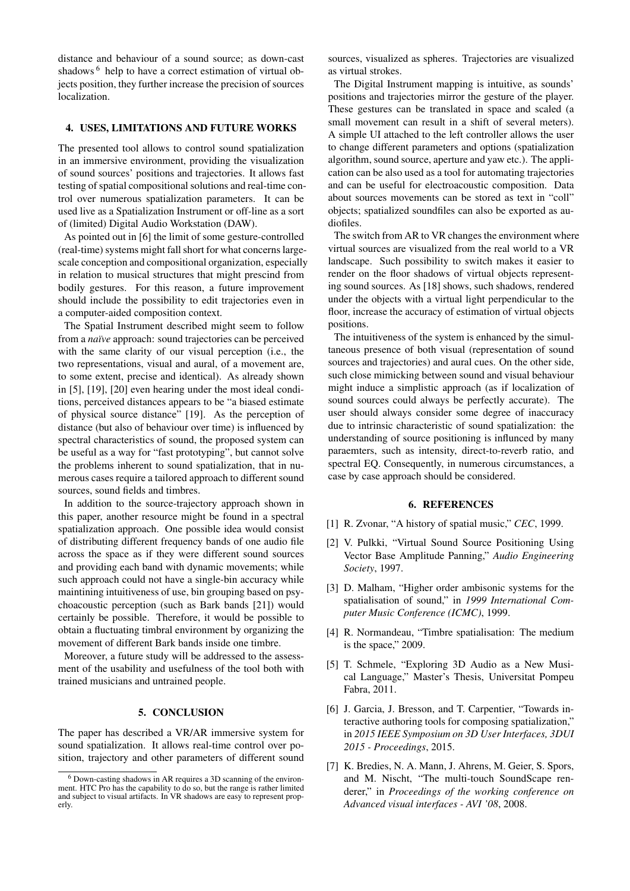distance and behaviour of a sound source; as down-cast shadows <sup>[6](#page-3-7)</sup> help to have a correct estimation of virtual objects position, they further increase the precision of sources localization.

## 4. USES, LIMITATIONS AND FUTURE WORKS

The presented tool allows to control sound spatialization in an immersive environment, providing the visualization of sound sources' positions and trajectories. It allows fast testing of spatial compositional solutions and real-time control over numerous spatialization parameters. It can be used live as a Spatialization Instrument or off-line as a sort of (limited) Digital Audio Workstation (DAW).

As pointed out in [\[6\]](#page-3-5) the limit of some gesture-controlled (real-time) systems might fall short for what concerns largescale conception and compositional organization, especially in relation to musical structures that might prescind from bodily gestures. For this reason, a future improvement should include the possibility to edit trajectories even in a computer-aided composition context.

The Spatial Instrument described might seem to follow from a *naïve* approach: sound trajectories can be perceived with the same clarity of our visual perception (i.e., the two representations, visual and aural, of a movement are, to some extent, precise and identical). As already shown in [\[5\]](#page-3-4), [\[19\]](#page-4-11), [\[20\]](#page-4-12) even hearing under the most ideal conditions, perceived distances appears to be "a biased estimate of physical source distance" [\[19\]](#page-4-11). As the perception of distance (but also of behaviour over time) is influenced by spectral characteristics of sound, the proposed system can be useful as a way for "fast prototyping", but cannot solve the problems inherent to sound spatialization, that in numerous cases require a tailored approach to different sound sources, sound fields and timbres.

In addition to the source-trajectory approach shown in this paper, another resource might be found in a spectral spatialization approach. One possible idea would consist of distributing different frequency bands of one audio file across the space as if they were different sound sources and providing each band with dynamic movements; while such approach could not have a single-bin accuracy while maintining intuitiveness of use, bin grouping based on psychoacoustic perception (such as Bark bands [\[21\]](#page-4-13)) would certainly be possible. Therefore, it would be possible to obtain a fluctuating timbral environment by organizing the movement of different Bark bands inside one timbre.

Moreover, a future study will be addressed to the assessment of the usability and usefulness of the tool both with trained musicians and untrained people.

## 5. CONCLUSION

The paper has described a VR/AR immersive system for sound spatialization. It allows real-time control over position, trajectory and other parameters of different sound sources, visualized as spheres. Trajectories are visualized as virtual strokes.

The Digital Instrument mapping is intuitive, as sounds' positions and trajectories mirror the gesture of the player. These gestures can be translated in space and scaled (a small movement can result in a shift of several meters). A simple UI attached to the left controller allows the user to change different parameters and options (spatialization algorithm, sound source, aperture and yaw etc.). The application can be also used as a tool for automating trajectories and can be useful for electroacoustic composition. Data about sources movements can be stored as text in "coll" objects; spatialized soundfiles can also be exported as audiofiles.

The switch from AR to VR changes the environment where virtual sources are visualized from the real world to a VR landscape. Such possibility to switch makes it easier to render on the floor shadows of virtual objects representing sound sources. As [\[18\]](#page-4-10) shows, such shadows, rendered under the objects with a virtual light perpendicular to the floor, increase the accuracy of estimation of virtual objects positions.

The intuitiveness of the system is enhanced by the simultaneous presence of both visual (representation of sound sources and trajectories) and aural cues. On the other side, such close mimicking between sound and visual behaviour might induce a simplistic approach (as if localization of sound sources could always be perfectly accurate). The user should always consider some degree of inaccuracy due to intrinsic characteristic of sound spatialization: the understanding of source positioning is influnced by many paraemters, such as intensity, direct-to-reverb ratio, and spectral EQ. Consequently, in numerous circumstances, a case by case approach should be considered.

#### 6. REFERENCES

- <span id="page-3-0"></span>[1] R. Zvonar, "A history of spatial music," *CEC*, 1999.
- <span id="page-3-1"></span>[2] V. Pulkki, "Virtual Sound Source Positioning Using Vector Base Amplitude Panning," *Audio Engineering Society*, 1997.
- <span id="page-3-2"></span>[3] D. Malham, "Higher order ambisonic systems for the spatialisation of sound," in *1999 International Computer Music Conference (ICMC)*, 1999.
- <span id="page-3-3"></span>[4] R. Normandeau, "Timbre spatialisation: The medium is the space," 2009.
- <span id="page-3-4"></span>[5] T. Schmele, "Exploring 3D Audio as a New Musical Language," Master's Thesis, Universitat Pompeu Fabra, 2011.
- <span id="page-3-5"></span>[6] J. Garcia, J. Bresson, and T. Carpentier, "Towards interactive authoring tools for composing spatialization," in *2015 IEEE Symposium on 3D User Interfaces, 3DUI 2015 - Proceedings*, 2015.
- <span id="page-3-6"></span>[7] K. Bredies, N. A. Mann, J. Ahrens, M. Geier, S. Spors, and M. Nischt, "The multi-touch SoundScape renderer," in *Proceedings of the working conference on Advanced visual interfaces - AVI '08*, 2008.

<span id="page-3-7"></span><sup>6</sup> Down-casting shadows in AR requires a 3D scanning of the environment. HTC Pro has the capability to do so, but the range is rather limited and subject to visual artifacts. In VR shadows are easy to represent properly.